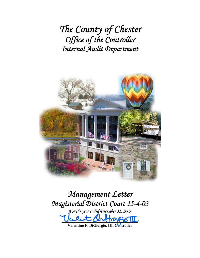*The County of Chester Office of the Controller Internal Audit Department*



*Management Letter Magisterial District Court 15-4-03* 

*For the year ended December 31, 2009*  0.  $2.670$ 

**Valentino F. DiGiorgio, III, Controller**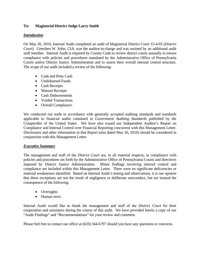### **To: Magisterial District Judge Larry Smith**

#### *Introduction*

On May 26, 2010, Internal Audit completed an audit of Magisterial District Court 15-4-03 (*District Court*). Gretchen W. Sohn, CIA, was the auditor-in-charge and was assisted by an additional audit staff member. Internal Audit is required by County Code to review district courts annually to ensure compliance with policies and procedures mandated by the Administrative Office of Pennsylvania Courts and/or District Justice Administration and to assess their overall internal control structure. The scope of our audit included a review of the following:

- Cash and Petty Cash
- Undisbursed Funds
- Cash Receipts
- Manual Receipts
- Cash Disbursements
- Voided Transactions
- Overall Compliance.

We conducted our audit in accordance with generally accepted auditing standards and standards applicable to financial audits contained in *Government Auditing Standards* published by the Comptroller of the United States. We have also issued our Independent Auditor's Report on Compliance and Internal Control over Financial Reporting concurrent with this Management Letter. Disclosures and other information in that Report (also dated May 26, 2010) should be considered in conjunction with this Management Letter.

### *Executive Summary*

The management and staff of the *District Court* are, in all material respects, in compliance with policies and procedures set forth by the Administrative Office of Pennsylvania Courts and directives imposed by District Justice Administration. Minor findings involving internal control and compliance are included within this Management Letter. There were no significant deficiencies or material weaknesses identified. Based on Internal Audit's testing and observations, it is our opinion that these exceptions are not the result of negligence or deliberate misconduct, but are instead the consequence of the following:

- Oversights
- Human error.

Internal Audit would like to thank the management and staff of the *District Court* for their cooperation and assistance during the course of this audit. We have provided herein a copy of our "Audit Findings" and "Recommendations" for your review and comment.

Please feel free to contact our office at (610) 344-6797 should you have any questions or concerns.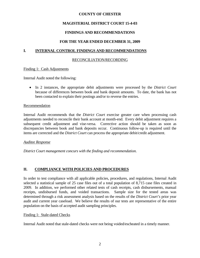## **MAGISTERIAL DISTRICT COURT 15-4-03**

## **FINDINGS AND RECOMMENDATIONS**

## **FOR THE YEAR ENDED DECEMBER 31, 2009**

### **I. INTERNAL CONTROL FINDINGS AND RECOMMENDATIONS**

#### RECONCILIATION/RECORDING

#### Finding 1: Cash Adjustments

Internal Audit noted the following:

 In 2 instances, the appropriate debit adjustments were processed by the *District Court* because of differences between book and bank deposit amounts. To date, the bank has not been contacted to explain their postings and/or to reverse the entries.

#### Recommendation

Internal Audit recommends that the *District Court* exercise greater care when processing cash adjustments needed to reconcile their bank account at month-end. Every debit adjustment requires a subsequent credit adjustment and vise-versa. Corrective action should be taken as soon as discrepancies between book and bank deposits occur. Continuous follow-up is required until the items are corrected and the *District Court* can process the appropriate debit/credit adjustment.

#### *Auditee Response*

*District Court management concurs with the finding and recommendation.* 

## **II. COMPLIANCE WITH POLICIES AND PROCEDURES**

In order to test compliance with all applicable policies, procedures, and regulations, Internal Audit selected a statistical sample of 25 case files out of a total population of 8,715 case files created in 2009. In addition, we performed other related tests of cash receipts, cash disbursements, manual receipts, undisbursed funds, and voided transactions. Sample size for the tested areas was determined through a risk assessment analysis based on the results of the *District Court's* prior year audit and current year caseload. We believe the results of our tests are representative of the entire population on the basis of accepted audit sampling principles.

#### Finding 1: Stale-dated Checks

Internal Audit noted that stale-dated checks were not being voided/escheated in a timely manner.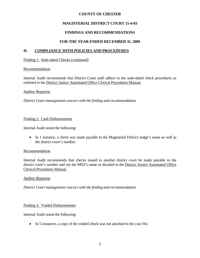## **MAGISTERIAL DISTRICT COURT 15-4-03**

## **FINDINGS AND RECOMMENDATIONS**

## **FOR THE YEAR ENDED DECEMBER 31, 2009**

## **II. COMPLIANCE WITH POLICIES AND PROCEDURES**

#### Finding 1: Stale-dated Checks (continued)

#### Recommendation

Internal Audit recommends that District Court staff adhere to the stale-dated check procedures as outlined in the District Justice Automated Office Clerical Procedures Manual.

#### *Auditee Response*

*District Court management concurs with the finding and recommendation.* 

#### Finding 2: Cash Disbursements

Internal Audit noted the following:

• In 1 instance, a check was made payable to the Magisterial District Judge's name as well as the district court's number.

### Recommendation

Internal Audit recommends that checks issued to another district court be made payable to the district court's number and not the MDJ's name as dictated in the District Justice Automated Office Clerical Procedures Manual.

### *Auditee Response*

*District Court management concurs with the finding and recommendation.* 

### Finding 3: Voided Disbursements

Internal Audit noted the following:

In 5 instances, a copy of the voided check was not attached to the case file.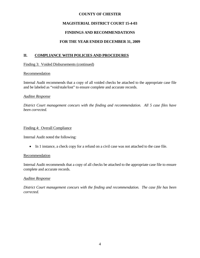## **MAGISTERIAL DISTRICT COURT 15-4-03**

## **FINDINGS AND RECOMMENDATIONS**

## **FOR THE YEAR ENDED DECEMBER 31, 2009**

## **II. COMPLIANCE WITH POLICIES AND PROCEDURES**

Finding 3: Voided Disbursements (continued)

#### **Recommendation**

Internal Audit recommends that a copy of all voided checks be attached to the appropriate case file and be labeled as "void/stale/lost" to ensure complete and accurate records.

#### *Auditee Response*

*District Court management concurs with the finding and recommendation. All 5 case files have been corrected.* 

#### Finding 4: Overall Compliance

Internal Audit noted the following:

In 1 instance, a check copy for a refund on a civil case was not attached to the case file.

#### **Recommendation**

Internal Audit recommends that a copy of all checks be attached to the appropriate case file to ensure complete and accurate records.

#### *Auditee Response*

*District Court management concurs with the finding and recommendation. The case file has been corrected.*